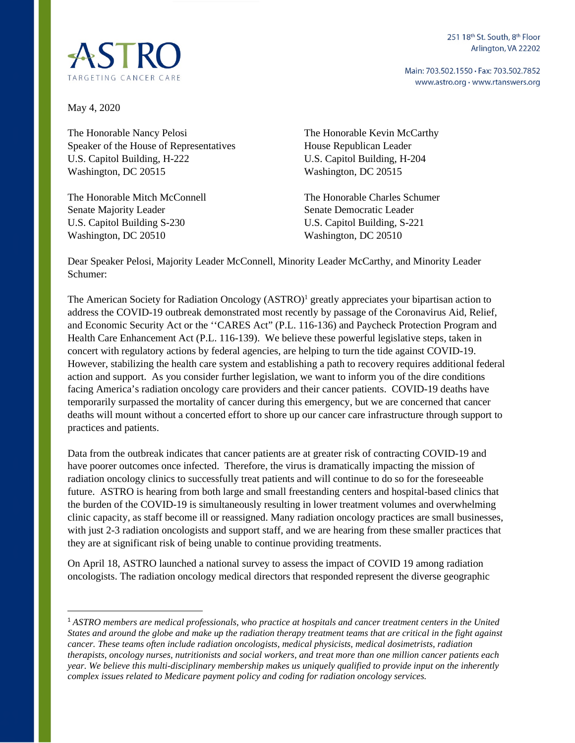251 18<sup>th</sup> St. South, 8<sup>th</sup> Floor Arlington, VA 22202

Main: 703.502.1550 · Fax: 703.502.7852 www.astro.org · www.rtanswers.org



May 4, 2020

The Honorable Nancy Pelosi Speaker of the House of Representatives U.S. Capitol Building, H-222 Washington, DC 20515

The Honorable Mitch McConnell Senate Majority Leader U.S. Capitol Building S-230 Washington, DC 20510

The Honorable Kevin McCarthy House Republican Leader U.S. Capitol Building, H-204 Washington, DC 20515

The Honorable Charles Schumer Senate Democratic Leader U.S. Capitol Building, S-221 Washington, DC 20510

Dear Speaker Pelosi, Majority Leader McConnell, Minority Leader McCarthy, and Minority Leader Schumer:

The American Society for Radiation Oncology (ASTRO)<sup>1</sup> greatly appreciates your bipartisan action to address the COVID-19 outbreak demonstrated most recently by passage of the Coronavirus Aid, Relief, and Economic Security Act or the ''CARES Act" (P.L. 116-136) and Paycheck Protection Program and Health Care Enhancement Act (P.L. 116-139). We believe these powerful legislative steps, taken in concert with regulatory actions by federal agencies, are helping to turn the tide against COVID-19. However, stabilizing the health care system and establishing a path to recovery requires additional federal action and support. As you consider further legislation, we want to inform you of the dire conditions facing America's radiation oncology care providers and their cancer patients. COVID-19 deaths have temporarily surpassed the mortality of cancer during this emergency, but we are concerned that cancer deaths will mount without a concerted effort to shore up our cancer care infrastructure through support to practices and patients.

[Data](https://www.thelancet.com/journals/lanonc/article/PIIS1470-2045(20)30096-6/fulltext) from the outbreak indicates that cancer patients are at greater risk of contracting COVID-19 and have poorer outcomes once infected. Therefore, the virus is dramatically impacting the mission of radiation oncology clinics to successfully treat patients and will continue to do so for the foreseeable future. ASTRO is hearing from both large and small freestanding centers and hospital-based clinics that the burden of the COVID-19 is simultaneously resulting in lower treatment volumes and overwhelming clinic capacity, as staff become ill or reassigned. Many radiation oncology practices are small businesses, with just 2-3 radiation oncologists and support staff, and we are hearing from these smaller practices that they are at significant risk of being unable to continue providing treatments.

On April 18, ASTRO launched a national survey to assess the impact of COVID 19 among radiation oncologists. The radiation oncology medical directors that responded represent the diverse geographic

<sup>1</sup> *ASTRO members are medical professionals, who practice at hospitals and cancer treatment centers in the United States and around the globe and make up the radiation therapy treatment teams that are critical in the fight against cancer. These teams often include radiation oncologists, medical physicists, medical dosimetrists, radiation therapists, oncology nurses, nutritionists and social workers, and treat more than one million cancer patients each year. We believe this multi-disciplinary membership makes us uniquely qualified to provide input on the inherently complex issues related to Medicare payment policy and coding for radiation oncology services.*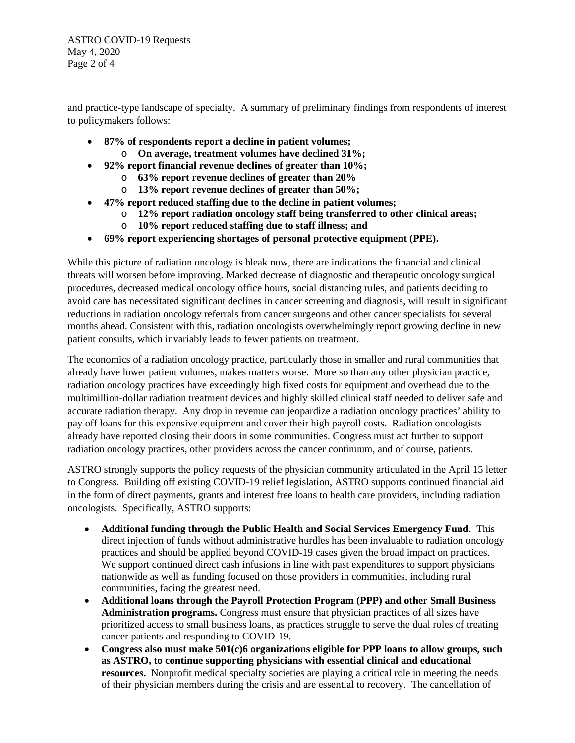ASTRO COVID-19 Requests May 4, 2020 Page 2 of 4

and practice-type landscape of specialty. A summary of preliminary findings from respondents of interest to policymakers follows:

- **87% of respondents report a decline in patient volumes;** 
	- o **On average, treatment volumes have declined 31%;**
- **92% report financial revenue declines of greater than 10%;** 
	- o **63% report revenue declines of greater than 20%**
	- o **13% report revenue declines of greater than 50%;**
- **47% report reduced staffing due to the decline in patient volumes;** 
	- o **12% report radiation oncology staff being transferred to other clinical areas;**
	- o **10% report reduced staffing due to staff illness; and**
- **69% report experiencing shortages of personal protective equipment (PPE).**

While this picture of radiation oncology is bleak now, there are indications the financial and clinical threats will worsen before improving. Marked decrease of diagnostic and therapeutic oncology surgical procedures, decreased medical oncology office hours, social distancing rules, and patients deciding to avoid care has necessitated significant declines in cancer screening and diagnosis, will result in significant reductions in radiation oncology referrals from cancer surgeons and other cancer specialists for several months ahead. Consistent with this, radiation oncologists overwhelmingly report growing decline in new patient consults, which invariably leads to fewer patients on treatment.

The economics of a radiation oncology practice, particularly those in smaller and rural communities that already have lower patient volumes, makes matters worse. More so than any other physician practice, radiation oncology practices have exceedingly high fixed costs for equipment and overhead due to the multimillion-dollar radiation treatment devices and highly skilled clinical staff needed to deliver safe and accurate radiation therapy. Any drop in revenue can jeopardize a radiation oncology practices' ability to pay off loans for this expensive equipment and cover their high payroll costs. Radiation oncologists already have reported closing their doors in some communities. Congress must act further to support radiation oncology practices, other providers across the cancer continuum, and of course, patients.

ASTRO strongly supports the policy requests of the physician community articulated in the April 15 letter to Congress. Building off existing COVID-19 relief legislation, ASTRO supports continued financial aid in the form of direct payments, grants and interest free loans to health care providers, including radiation oncologists. Specifically, ASTRO supports:

- **Additional funding through the Public Health and Social Services Emergency Fund.** This direct injection of funds without administrative hurdles has been invaluable to radiation oncology practices and should be applied beyond COVID-19 cases given the broad impact on practices. We support continued direct cash infusions in line with past expenditures to support physicians nationwide as well as funding focused on those providers in communities, including rural communities, facing the greatest need.
- **Additional loans through the Payroll Protection Program (PPP) and other Small Business Administration programs.** Congress must ensure that physician practices of all sizes have prioritized access to small business loans, as practices struggle to serve the dual roles of treating cancer patients and responding to COVID-19.
- **Congress also must make 501(c)6 organizations eligible for PPP loans to allow groups, such as ASTRO, to continue supporting physicians with essential clinical and educational resources.** Nonprofit medical specialty societies are playing a critical role in meeting the needs of their physician members during the crisis and are essential to recovery. The cancellation of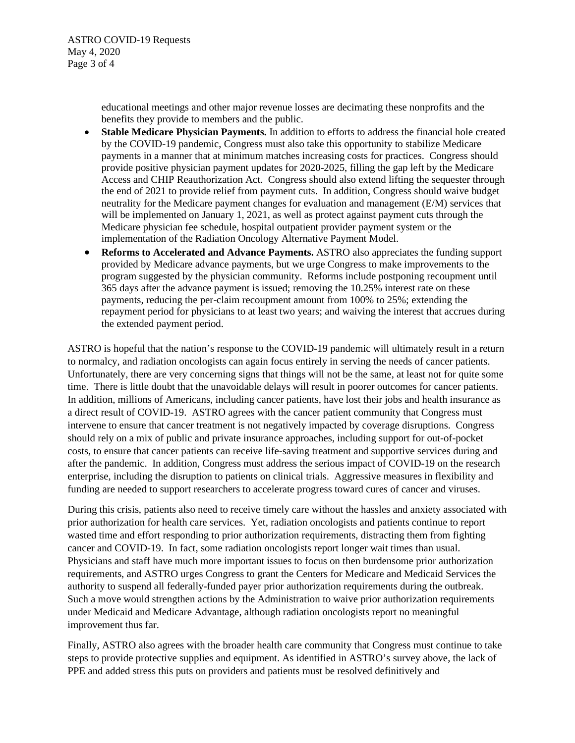educational meetings and other major revenue losses are decimating these nonprofits and the benefits they provide to members and the public.

- **Stable Medicare Physician Payments.** In addition to efforts to address the financial hole created by the COVID-19 pandemic, Congress must also take this opportunity to stabilize Medicare payments in a manner that at minimum matches increasing costs for practices. Congress should provide positive physician payment updates for 2020-2025, filling the gap left by the Medicare Access and CHIP Reauthorization Act. Congress should also extend lifting the sequester through the end of 2021 to provide relief from payment cuts. In addition, Congress should waive budget neutrality for the Medicare payment changes for evaluation and management (E/M) services that will be implemented on January 1, 2021, as well as protect against payment cuts through the Medicare physician fee schedule, hospital outpatient provider payment system or the implementation of the Radiation Oncology Alternative Payment Model.
- **Reforms to Accelerated and Advance Payments.** ASTRO also appreciates the funding support provided by Medicare advance payments, but we urge Congress to make improvements to the program suggested by the physician community. Reforms include postponing recoupment until 365 days after the advance payment is issued; removing the 10.25% interest rate on these payments, reducing the per-claim recoupment amount from 100% to 25%; extending the repayment period for physicians to at least two years; and waiving the interest that accrues during the extended payment period.

ASTRO is hopeful that the nation's response to the COVID-19 pandemic will ultimately result in a return to normalcy, and radiation oncologists can again focus entirely in serving the needs of cancer patients. Unfortunately, there are very concerning signs that things will not be the same, at least not for quite some time. There is little doubt that the unavoidable delays will result in poorer outcomes for cancer patients. In addition, millions of Americans, including cancer patients, have lost their jobs and health insurance as a direct result of COVID-19. ASTRO agrees with the cancer patient community that Congress must intervene to ensure that cancer treatment is not negatively impacted by coverage disruptions. Congress should rely on a mix of public and private insurance approaches, including support for out-of-pocket costs, to ensure that cancer patients can receive life-saving treatment and supportive services during and after the pandemic. In addition, Congress must address the serious impact of COVID-19 on the research enterprise, including the disruption to patients on clinical trials. Aggressive measures in flexibility and funding are needed to support researchers to accelerate progress toward cures of cancer and viruses.

During this crisis, patients also need to receive timely care without the hassles and anxiety associated with prior authorization for health care services. Yet, radiation oncologists and patients continue to report wasted time and effort responding to prior authorization requirements, distracting them from fighting cancer and COVID-19. In fact, some radiation oncologists report longer wait times than usual. Physicians and staff have much more important issues to focus on then burdensome prior authorization requirements, and ASTRO urges Congress to grant the Centers for Medicare and Medicaid Services the authority to suspend all federally-funded payer prior authorization requirements during the outbreak. Such a move would strengthen actions by the Administration to waive prior authorization requirements under Medicaid and Medicare Advantage, although radiation oncologists report no meaningful improvement thus far.

Finally, ASTRO also agrees with the broader health care community that Congress must continue to take steps to provide protective supplies and equipment. As identified in ASTRO's survey above, the lack of PPE and added stress this puts on providers and patients must be resolved definitively and